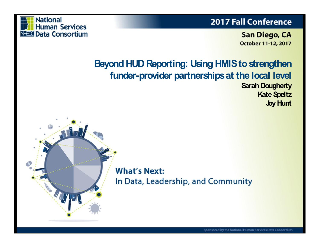

### **2017 Fall Conference**

**San Diego, CA October 11-12, 2017** 

### **Beyond HUD Reporting: Using HMIS to strengthen funder-provider partnerships at the local level Sarah Dougherty Kate Speltz**

**Joy Hunt**

**What's Next:** In Data, Leadership, and Community

Sponsored by the National Human Services Data Consortium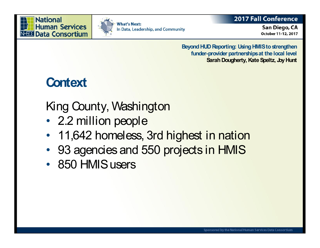



### **2017 Fall Conference**

San Diego, CA October 11-12, 2017

**Beyond HUD Reporting: Using HMIS to strengthen funder-provider partnerships at the local level Sarah Dougherty, Kate Speltz, Joy Hunt**

### **Context**

King County, Washington

- 2.2 million people
- 11,642 homeless, 3rd highest in nation
- 93 agencies and 550 projects in HMIS
- 850 HMIS users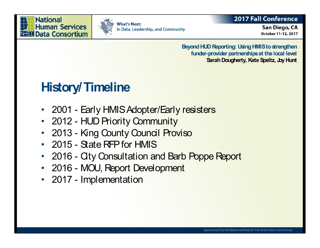



### **2017 Fall Conference**

San Diego, CA October 11-12, 2017

**Beyond HUD Reporting: Using HMIS to strengthen funder-provider partnerships at the local level Sarah Dougherty, Kate Speltz, Joy Hunt**

# **History/Timeline**

- 2001 Early HMIS Adopter/Early resisters
- 2012 HUD Priority Community
- 2013 King County Council Proviso
- 2015 State RFP for HMIS
- 2016 City Consultation and Barb Poppe Report
- 2016 MOU, Report Development
- 2017 Implementation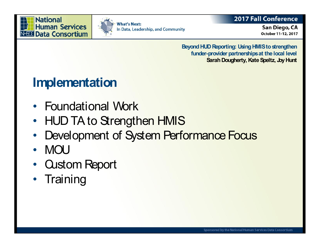



### **2017 Fall Conference**

San Diego, CA October 11-12, 2017

**Beyond HUD Reporting: Using HMIS to strengthen funder-provider partnerships at the local level Sarah Dougherty, Kate Speltz, Joy Hunt**

## **Implementation**

- Foundational Work
- HUD TA to Strengthen HMIS
- Development of System Performance Focus
- MOU
- Custom Report
- Training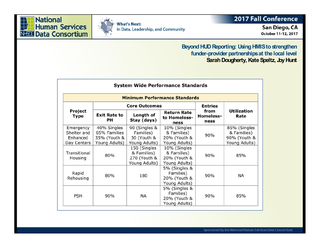



### 2017 Fall Conference

San Diego, CA October 11-12, 2017

#### **Beyond HUD Reporting: Using HMIS to strengthen** funder-provider partnerships at the local level Sarah Dougherty, Kate Speltz, Joy Hunt

| <b>Minimum Performance Standards</b>                |                                                              |                                                              |                                                              |                                  |                                                                                                   |  |  |  |  |  |  |
|-----------------------------------------------------|--------------------------------------------------------------|--------------------------------------------------------------|--------------------------------------------------------------|----------------------------------|---------------------------------------------------------------------------------------------------|--|--|--|--|--|--|
|                                                     |                                                              | <b>Core Outcomes</b>                                         |                                                              | <b>Entries</b>                   | <b>Utilization</b><br>Rate<br>85% (Singles<br>& Families)<br>90% (Youth &<br>Young Adults)<br>85% |  |  |  |  |  |  |
| Project<br>Type                                     | <b>Exit Rate to</b><br>PН                                    | Length of<br>Stay (days)                                     | <b>Return Rate</b><br>to Homeless-<br>ness                   | from<br><b>Homeless-</b><br>ness |                                                                                                   |  |  |  |  |  |  |
| Emergency<br>Shelter and<br>Enhanced<br>Day Centers | 40% Singles<br>65% Families<br>35% (Youth &<br>Young Adults) | 90 (Singles &<br>Families)<br>30 (Youth &<br>Young Adults)   | 10% (Singles<br>& Families)<br>20% (Youth &<br>Young Adults) | 90%                              |                                                                                                   |  |  |  |  |  |  |
| Transitional<br>Housing                             | 80%                                                          | 150 (Singles<br>& Families)<br>270 (Youth &<br>Young Adults) | 10% (Singles<br>& Families)<br>20% (Youth &<br>Young Adults) | 90%                              |                                                                                                   |  |  |  |  |  |  |
| Rapid<br>Rehousing                                  | 80%                                                          | 180                                                          | 5% (Singles &<br>Families)<br>20% (Youth &<br>Young Adults)  | 90%<br><b>NA</b>                 |                                                                                                   |  |  |  |  |  |  |
| <b>PSH</b>                                          | 90%<br><b>NA</b>                                             |                                                              | 5% (Singles &<br>Families)<br>20% (Youth &<br>Young Adults)  | 90%                              | 85%                                                                                               |  |  |  |  |  |  |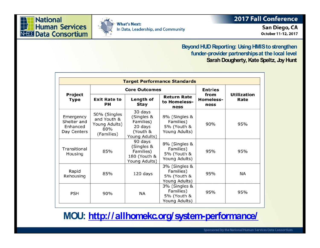Beyond HUD Reporting: Using HMI fund or ovider partnerships at the Sarah Dougherty, Kate Spe

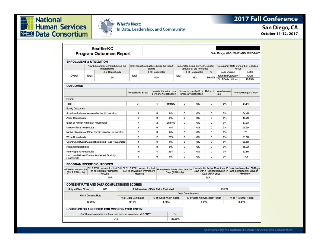



### 2017 Fall Conference

### San Diego, CA

October 11-12, 2017

| Seattle-KC<br><b>Program Outcomes Report</b>                                                                                               |                                                     |                                                  |                    |                                                                             | Date Range: 07/01/2017 AND 07/20/2017        |                |                                                   |                                                                 |                                |                |                                  |                                                                                                                                         |                       |                          |  |
|--------------------------------------------------------------------------------------------------------------------------------------------|-----------------------------------------------------|--------------------------------------------------|--------------------|-----------------------------------------------------------------------------|----------------------------------------------|----------------|---------------------------------------------------|-----------------------------------------------------------------|--------------------------------|----------------|----------------------------------|-----------------------------------------------------------------------------------------------------------------------------------------|-----------------------|--------------------------|--|
| <b>ENROLLMENT &amp; UTILIZATION</b>                                                                                                        |                                                     |                                                  |                    |                                                                             |                                              |                |                                                   |                                                                 |                                |                |                                  |                                                                                                                                         |                       |                          |  |
|                                                                                                                                            | New households enrolled during the<br>report period |                                                  |                    | Total households active during the report<br>period                         |                                              |                |                                                   | Households active during the report<br>period that are homeless |                                |                |                                  | Occupancy Rate During the Reporting<br>Period                                                                                           |                       |                          |  |
|                                                                                                                                            |                                                     | # of Households                                  |                    |                                                                             | # of Households<br>660                       |                |                                                   |                                                                 | # of Households<br>593         |                | %                                | Beds Utilized:                                                                                                                          |                       | 3.394<br>4,420<br>76.79% |  |
| Overall                                                                                                                                    | Total:<br>80                                        |                                                  |                    | Total:                                                                      |                                              |                |                                                   | Total:                                                          |                                |                | 89.85%                           | <b>Total Bed Capacity:</b><br>% of Beds Utilized:                                                                                       |                       |                          |  |
| <b>OUTCOMES</b>                                                                                                                            |                                                     |                                                  |                    |                                                                             |                                              |                |                                                   |                                                                 |                                |                |                                  |                                                                                                                                         |                       |                          |  |
|                                                                                                                                            |                                                     |                                                  |                    | Households exited to a<br><b>Households Exited</b><br>permanent destination |                                              |                | Households exited to a<br>temporary destination   |                                                                 | Return to Homelessness<br>Rate |                | Average length of stay           |                                                                                                                                         |                       |                          |  |
| Overall                                                                                                                                    |                                                     |                                                  |                    |                                                                             |                                              |                |                                                   |                                                                 |                                |                |                                  |                                                                                                                                         |                       |                          |  |
| Total                                                                                                                                      |                                                     |                                                  |                    | 21                                                                          |                                              | 4              | 19.05%                                            |                                                                 | $\Omega$                       | 0%             | $\Omega$                         | 0%                                                                                                                                      |                       | 61.64                    |  |
| <b>Equity Outcomes</b>                                                                                                                     |                                                     |                                                  |                    |                                                                             |                                              |                |                                                   |                                                                 |                                |                |                                  |                                                                                                                                         |                       |                          |  |
| American Indian or Alaskan Native Households                                                                                               |                                                     |                                                  |                    | $\mathbf{1}$                                                                |                                              | 0%<br>$\circ$  |                                                   |                                                                 | $\circ$<br>0%                  |                | $\circ$                          | 0%                                                                                                                                      | 64.48                 |                          |  |
| Asian Households                                                                                                                           |                                                     |                                                  |                    | $\Omega$                                                                    |                                              | $\Omega$       | 0%                                                |                                                                 | $^{\circ}$                     | 0%             | $\Omega$                         | 0%                                                                                                                                      |                       | 49.76                    |  |
| <b>Black or African American Households</b>                                                                                                |                                                     |                                                  |                    | $\overline{7}$                                                              |                                              | $\overline{2}$ | 28.57%                                            |                                                                 | $\Omega$<br>0%                 |                | $\Omega$                         | 0%                                                                                                                                      |                       | 67.03                    |  |
| Multiple Race Households                                                                                                                   |                                                     |                                                  |                    | $\mathbf{1}$                                                                |                                              | $\mathbf 0$    | 0%                                                |                                                                 | $\circ$                        | 0%             | $\circ$                          | 0%                                                                                                                                      |                       | 56.29                    |  |
| Native Hawaiian or Other Pacific Islander Households                                                                                       |                                                     |                                                  | $\Omega$           |                                                                             | 0                                            | 0%             |                                                   | $\Omega$                                                        | 0%                             | $\Omega$       | 0%                               |                                                                                                                                         | 76                    |                          |  |
| White Households                                                                                                                           |                                                     |                                                  | 8                  |                                                                             | $\overline{2}$                               | 25%            |                                                   | $\Omega$                                                        | 0%                             | $\Omega$       | 0%                               |                                                                                                                                         | 61.56                 |                          |  |
| Unknown/Refused/Data not collected Race Households                                                                                         |                                                     |                                                  | $\overline{4}$     |                                                                             | $\circ$                                      | 0%             |                                                   | $\Omega$                                                        | 0%                             | $\Omega$       | 0%                               |                                                                                                                                         | 29.63                 |                          |  |
| <b>Hispanic Households</b>                                                                                                                 |                                                     |                                                  | $\overline{\bf 4}$ |                                                                             | $\mathbf{0}$                                 | 0%             |                                                   | $\mathbf 0$                                                     | 0%                             | $\Omega$       | 0%                               |                                                                                                                                         | 56.32                 |                          |  |
| Non-Hispanic Households                                                                                                                    |                                                     |                                                  |                    | 16                                                                          |                                              | 25%<br>4       |                                                   |                                                                 | $\mathbf 0$<br>0%              |                | $\Omega$                         | 0%                                                                                                                                      |                       | 63.86                    |  |
| Unknown/Refused/Data not collected Ethnicity<br>Households                                                                                 |                                                     |                                                  |                    | $\mathbf{1}$                                                                |                                              |                | 0<br>0%                                           |                                                                 | 0                              | 0%             | $\circ$                          | 0%                                                                                                                                      |                       | 17.4                     |  |
| <b>PROGRAM SPECIFIC OUTCOMES</b>                                                                                                           |                                                     |                                                  |                    |                                                                             |                                              |                |                                                   |                                                                 |                                |                |                                  |                                                                                                                                         |                       |                          |  |
| All Active Households PH & PSH Households that Exit   % PH & PSH Households that<br>to or Maintain Permanent<br>(PH & PSH only)<br>Housing |                                                     |                                                  |                    | Exit to or Maintain Permanent<br>Housing                                    |                                              |                | Households Active More than 30<br>Days (RRH only) |                                                                 | Date (RRH only)                |                |                                  | Households Active More than 30 % Active More than 30 Days<br>Days with a Residential Move-In   with a Residential Move-In<br>(RRH only) |                       |                          |  |
|                                                                                                                                            |                                                     | N/A                                              |                    |                                                                             |                                              |                |                                                   |                                                                 |                                |                | N/A                              |                                                                                                                                         |                       |                          |  |
|                                                                                                                                            |                                                     | <b>CONSENT RATE AND DATA COMPLETENESS SCORES</b> |                    |                                                                             |                                              |                |                                                   |                                                                 |                                |                |                                  |                                                                                                                                         |                       |                          |  |
| <b>Unique Client Count</b>                                                                                                                 |                                                     | 660                                              |                    |                                                                             | <b>Total Number of Data Fields Evaluated</b> |                |                                                   | 13.229                                                          |                                |                |                                  |                                                                                                                                         |                       |                          |  |
| <b>HMIS Consent Rate</b>                                                                                                                   |                                                     |                                                  |                    |                                                                             |                                              |                |                                                   |                                                                 | <b>Data Completeness</b>       |                |                                  |                                                                                                                                         |                       |                          |  |
|                                                                                                                                            |                                                     |                                                  |                    | % of Data Completed<br>% of "Don't Know" Fields                             |                                              |                |                                                   |                                                                 |                                |                | % of "Data Not Collected" Fields |                                                                                                                                         | % of "Refused" Fields |                          |  |
| 97.73%<br>96.9%                                                                                                                            |                                                     |                                                  |                    |                                                                             | 1.08%                                        |                |                                                   |                                                                 |                                | 0.85%<br>1.16% |                                  |                                                                                                                                         |                       |                          |  |
|                                                                                                                                            |                                                     | <b>HOUSEHOLDS ASSESSED FOR COORDINATED ENTRY</b> |                    |                                                                             |                                              |                |                                                   |                                                                 |                                |                |                                  |                                                                                                                                         |                       |                          |  |
| # of Households where at least one member completed VI-SPDAT<br>%                                                                          |                                                     |                                                  |                    |                                                                             |                                              |                |                                                   |                                                                 |                                |                |                                  |                                                                                                                                         |                       |                          |  |
| 215                                                                                                                                        |                                                     |                                                  |                    |                                                                             |                                              |                |                                                   | 32.58%                                                          |                                |                |                                  |                                                                                                                                         |                       |                          |  |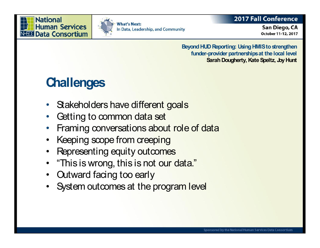



### **2017 Fall Conference**

San Diego, CA October 11-12, 2017

**Beyond HUD Reporting: Using HMIS to strengthen funder-provider partnerships at the local level Sarah Dougherty, Kate Speltz, Joy Hunt**

# **Challenges**

- Stakeholders have different goals
- Getting to common data set
- Framing conversations about role of data
- Keeping scope from creeping
- Representing equity outcomes
- "This is wrong, this is not our data."
- Outward facing too early
- System outcomes at the program level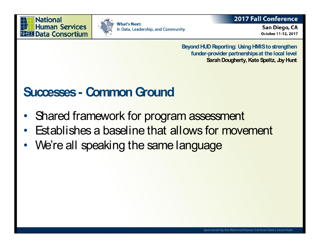



### **2017 Fall Conference**

San Diego, CA October 11-12, 2017

**Beyond HUD Reporting: Using HMIS to strengthen funder-provider partnerships at the local level Sarah Dougherty, Kate Speltz, Joy Hunt**

### **Successes- Common Ground**

- Shared framework for program assessment
- Establishes a baseline that allows for movement
- We're all speaking the same language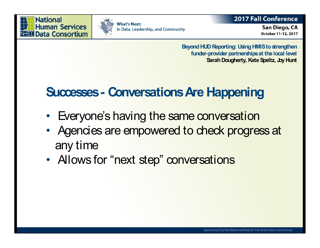



### **2017 Fall Conference**

San Diego, CA October 11-12, 2017

**Beyond HUD Reporting: Using HMIS to strengthen funder-provider partnerships at the local level Sarah Dougherty, Kate Speltz, Joy Hunt**

# **Successes- Conversations Are Happening**

- Everyone's having the same conversation
- Agencies are empowered to check progress at any time
- Allows for "next step" conversations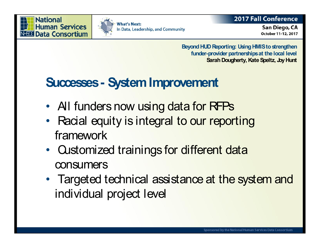

### **2017 Fall Conference**

San Diego, CA October 11-12, 2017

**Beyond HUD Reporting: Using HMIS to strengthen funder-provider partnerships at the local level Sarah Dougherty, Kate Speltz, Joy Hunt**

# **Successes- System Improvement**

- All funders now using data for RFPs
- Racial equity is integral to our reporting framework
- Customized trainings for different data consumers
- Targeted technical assistance at the system and individual project level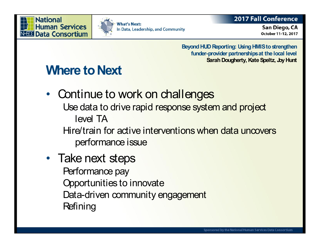



### **2017 Fall Conference**

San Diego, CA October 11-12, 2017

**Beyond HUD Reporting: Using HMIS to strengthen funder-provider partnerships at the local level Sarah Dougherty, Kate Speltz, Joy Hunt**

# **Where to Next**

- Continue to work on challenges Use data to drive rapid response system and project level TA Hire/train for active interventions when data uncovers performance issue
- Take next steps Performance pay Opportunities to innovate Data-driven community engagement **Refining**